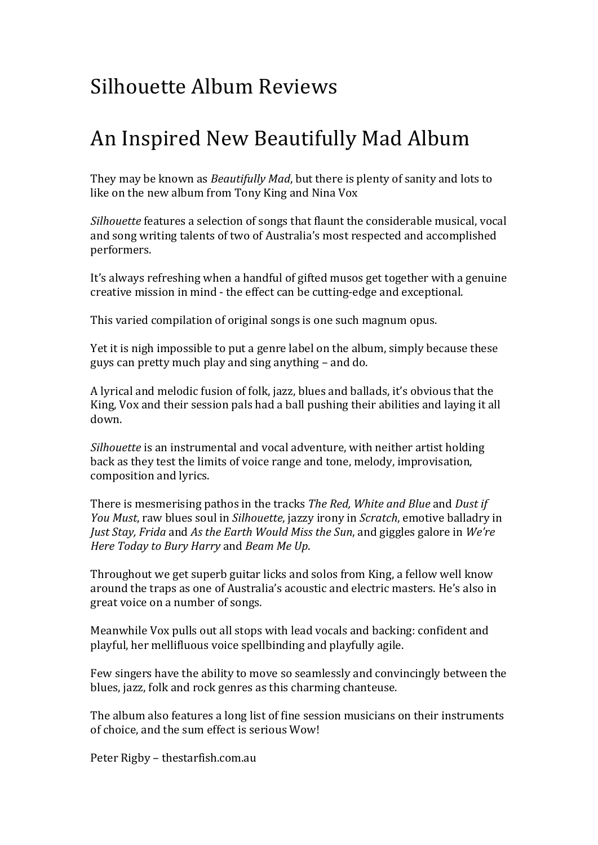## Silhouette Album Reviews

### An Inspired New Beautifully Mad Album

They may be known as *Beautifully Mad*, but there is plenty of sanity and lots to like on the new album from Tony King and Nina Vox

*Silhouette* features a selection of songs that flaunt the considerable musical, vocal and song writing talents of two of Australia's most respected and accomplished performers.

It's always refreshing when a handful of gifted musos get together with a genuine creative mission in mind - the effect can be cutting-edge and exceptional.

This varied compilation of original songs is one such magnum opus.

Yet it is nigh impossible to put a genre label on the album, simply because these guys can pretty much play and sing anything – and do.

A lyrical and melodic fusion of folk, jazz, blues and ballads, it's obvious that the King, Vox and their session pals had a ball pushing their abilities and laying it all down.

*Silhouette* is an instrumental and vocal adventure, with neither artist holding back as they test the limits of voice range and tone, melody, improvisation, composition and lyrics.

There is mesmerising pathos in the tracks *The Red, White and Blue* and *Dust if You Must*, raw blues soul in *Silhouette*, jazzy irony in *Scratch*, emotive balladry in *Just Stay, Frida* and *As the Earth Would Miss the Sun*, and giggles galore in *We're Here Today to Bury Harry* and *Beam Me Up.* 

Throughout we get superb guitar licks and solos from King, a fellow well know around the traps as one of Australia's acoustic and electric masters. He's also in great voice on a number of songs.

Meanwhile Vox pulls out all stops with lead vocals and backing: confident and playful, her mellifluous voice spellbinding and playfully agile.

Few singers have the ability to move so seamlessly and convincingly between the blues, jazz, folk and rock genres as this charming chanteuse.

The album also features a long list of fine session musicians on their instruments of choice, and the sum effect is serious Wow!

Peter Rigby - thestarfish.com.au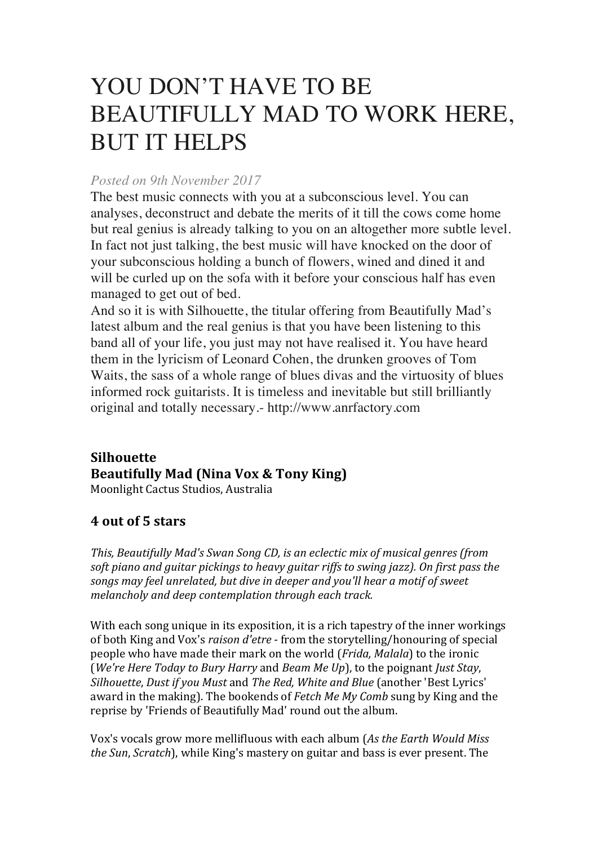# YOU DON'T HAVE TO BE BEAUTIFULLY MAD TO WORK HERE, BUT IT HELPS

#### *Posted on 9th November 2017*

The best music connects with you at a subconscious level. You can analyses, deconstruct and debate the merits of it till the cows come home but real genius is already talking to you on an altogether more subtle level. In fact not just talking, the best music will have knocked on the door of your subconscious holding a bunch of flowers, wined and dined it and will be curled up on the sofa with it before your conscious half has even managed to get out of bed.

And so it is with Silhouette, the titular offering from Beautifully Mad's latest album and the real genius is that you have been listening to this band all of your life, you just may not have realised it. You have heard them in the lyricism of Leonard Cohen, the drunken grooves of Tom Waits, the sass of a whole range of blues divas and the virtuosity of blues informed rock guitarists. It is timeless and inevitable but still brilliantly original and totally necessary.- http://www.anrfactory.com

#### **Silhouette Beautifully Mad (Nina Vox & Tony King)** Moonlight Cactus Studios, Australia

### **4 out of 5 stars**

This, Beautifully Mad's *Swan Song CD*, is an eclectic mix of musical genres (from *soft piano and guitar pickings to heavy guitar riffs to swing jazz). On first pass the songs* may feel unrelated, but dive in deeper and you'll hear a motif of sweet *melancholy and deep contemplation through each track.* 

With each song unique in its exposition, it is a rich tapestry of the inner workings of both King and Vox's *raison d'etre* - from the storytelling/honouring of special people who have made their mark on the world (*Frida, Malala*) to the ironic (*We're Here Today to Bury Harry* and *Beam Me Up*), to the poignant *Just Stay*, *Silhouette, Dust if you Must and The Red, White and Blue* (another 'Best Lyrics' award in the making). The bookends of *Fetch Me My Comb* sung by King and the reprise by 'Friends of Beautifully Mad' round out the album.

Vox's vocals grow more mellifluous with each album (As the Earth Would Miss *the Sun, Scratch*), while King's mastery on guitar and bass is ever present. The